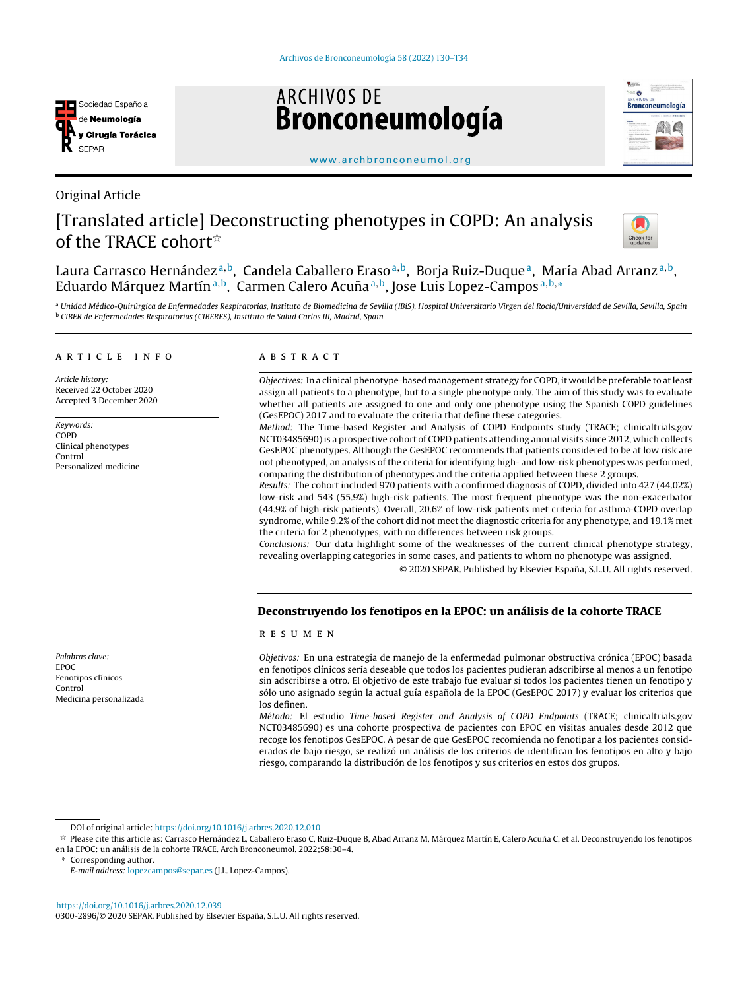

Original Article

# **ARCHIVOS DE Bronconeumología**



#### [www.archbronconeumol.org](http://www.archbronconeumol.org)

## [Translated article] Deconstructing phenotypes in COPD: An analysis of the TRACE cohort<sup>\*</sup>



Laura Carrasco Hernández<sup>a,b</sup>, Candela Caballero Eraso<sup>a,b</sup>, Borja Ruiz-Duque<sup>a</sup>, María Abad Arranz<sup>a,b</sup>, Eduardo Márquez Martín<sup>a, b</sup>, Carmen Calero Acuña<sup>a, b</sup>, Jose Luis Lopez-Campos<sup>a, b,</sup>\*

a Unidad Médico-Quirúrgica de Enfermedades Respiratorias, Instituto de Biomedicina de Sevilla (IBiS), Hospital Universitario Virgen del Rocio/Universidad de Sevilla, Sevilla, Spain <sup>b</sup> CIBER de Enfermedades Respiratorias (CIBERES), Instituto de Salud Carlos III, Madrid, Spain

#### a r t i c l e i n f o

Article history: Received 22 October 2020 Accepted 3 December 2020

Keywords: COPD Clinical phenotypes Control Personalized medicine

#### A B S T R A C T

Objectives: In a clinical phenotype-based management strategy for COPD, it would be preferable to atleast assign all patients to a phenotype, but to a single phenotype only. The aim of this study was to evaluate whether all patients are assigned to one and only one phenotype using the Spanish COPD guidelines (GesEPOC) 2017 and to evaluate the criteria that define these categories.

Method: The Time-based Register and Analysis of COPD Endpoints study (TRACE; clinicaltrials.gov NCT03485690)is a prospective cohort of COPD patients attending annual visits since 2012, which collects GesEPOC phenotypes. Although the GesEPOC recommends that patients considered to be at low risk are not phenotyped, an analysis of the criteria for identifying high- and low-risk phenotypes was performed, comparing the distribution of phenotypes and the criteria applied between these 2 groups.

Results: The cohort included 970 patients with a confirmed diagnosis of COPD, divided into 427 (44.02%) low-risk and 543 (55.9%) high-risk patients. The most frequent phenotype was the non-exacerbator (44.9% of high-risk patients). Overall, 20.6% of low-risk patients met criteria for asthma-COPD overlap syndrome, while 9.2% of the cohort did not meet the diagnostic criteria for any phenotype, and 19.1% met the criteria for 2 phenotypes, with no differences between risk groups.

Conclusions: Our data highlight some of the weaknesses of the current clinical phenotype strategy, revealing overlapping categories in some cases, and patients to whom no phenotype was assigned.

© 2020 SEPAR. Published by Elsevier España, S.L.U. All rights reserved.

## Deconstruyendo los fenotipos en la EPOC: un análisis de la cohorte TRACE

#### r e s u m e n

Objetivos: En una estrategia de manejo de la enfermedad pulmonar obstructiva crónica (EPOC) basada en fenotipos clínicos sería deseable que todos los pacientes pudieran adscribirse al menos a un fenotipo sin adscribirse a otro. El objetivo de este trabajo fue evaluar si todos los pacientes tienen un fenotipo y sólo uno asignado según la actual guía española de la EPOC (GesEPOC 2017) y evaluar los criterios que los definen.

Método: El estudio Time-based Register and Analysis of COPD Endpoints (TRACE; clinicaltrials.gov NCT03485690) es una cohorte prospectiva de pacientes con EPOC en visitas anuales desde 2012 que recoge los fenotipos GesEPOC. A pesar de que GesEPOC recomienda no fenotipar a los pacientes considerados de bajo riesgo, se realizó un análisis de los criterios de identifican los fenotipos en alto y bajo riesgo, comparando la distribución de los fenotipos y sus criterios en estos dos grupos.

DOI of original article: <https://doi.org/10.1016/j.arbres.2020.12.010>

Corresponding author.

E-mail address: [lopezcampos@separ.es](mailto:lopezcampos@separ.es) (J.L. Lopez-Campos).

<https://doi.org/10.1016/j.arbres.2020.12.039> 0300-2896/© 2020 SEPAR. Published by Elsevier España, S.L.U. All rights reserved.

Palabras clave: EPOC Fenotipos clínicos Control Medicina personalizada

<sup>→&</sup>lt;br>→ Please cite this article as: Carrasco Hernández L, Caballero Eraso C, Ruiz-Duque B, Abad Arranz M, Márquez Martín E, Calero Acuña C, et al. Deconstruyendo los fenotipos en la EPOC: un análisis de la cohorte TRACE. Arch Bronconeumol. 2022;58:30–4.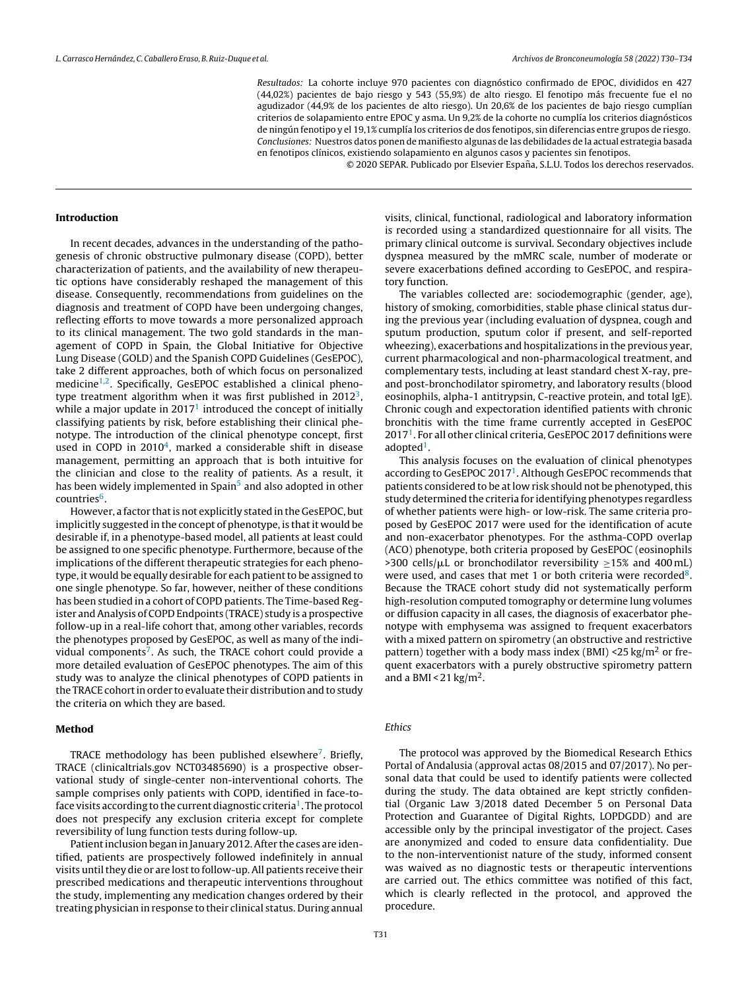Resultados: La cohorte incluye 970 pacientes con diagnóstico confirmado de EPOC, divididos en 427 (44,02%) pacientes de bajo riesgo y 543 (55,9%) de alto riesgo. El fenotipo más frecuente fue el no agudizador (44,9% de los pacientes de alto riesgo). Un 20,6% de los pacientes de bajo riesgo cumplían criterios de solapamiento entre EPOC y asma. Un 9,2% de la cohorte no cumplía los criterios diagnósticos de ningún fenotipo y el 19,1% cumplía los criterios de dos fenotipos, sin diferencias entre grupos de riesgo. Conclusiones: Nuestros datos ponen de manifiesto algunas de las debilidades de la actual estrategia basada en fenotipos clínicos, existiendo solapamiento en algunos casos y pacientes sin fenotipos.

© 2020 SEPAR. Publicado por Elsevier España, S.L.U. Todos los derechos reservados.

#### Introduction

In recent decades, advances in the understanding of the pathogenesis of chronic obstructive pulmonary disease (COPD), better characterization of patients, and the availability of new therapeutic options have considerably reshaped the management of this disease. Consequently, recommendations from guidelines on the diagnosis and treatment of COPD have been undergoing changes, reflecting efforts to move towards a more personalized approach to its clinical management. The two gold standards in the management of COPD in Spain, the Global Initiative for Objective Lung Disease (GOLD) and the Spanish COPD Guidelines (GesEPOC), take 2 different approaches, both of which focus on personalized medicine<sup>[1,2](#page-4-0)</sup>. Specifically, GesEPOC established a clinical pheno-type treatment algorithm when it was first published in 2012<sup>[3](#page-4-0)</sup>, while a major update in  $2017<sup>1</sup>$  $2017<sup>1</sup>$  $2017<sup>1</sup>$  introduced the concept of initially classifying patients by risk, before establishing their clinical phenotype. The introduction of the clinical phenotype concept, first used in COPD in  $2010<sup>4</sup>$  $2010<sup>4</sup>$  $2010<sup>4</sup>$ , marked a considerable shift in disease management, permitting an approach that is both intuitive for the clinician and close to the reality of patients. As a result, it has been widely implemented in Spain<sup>[5](#page-4-0)</sup> and also adopted in other countries<sup>[6](#page-4-0)</sup>.

However, a factor that is not explicitly stated in the GesEPOC, but implicitly suggested in the concept of phenotype, is that it would be desirable if, in a phenotype-based model, all patients at least could be assigned to one specific phenotype. Furthermore, because of the implications of the different therapeutic strategies for each phenotype, it would be equally desirable for each patient to be assigned to one single phenotype. So far, however, neither of these conditions has been studied in a cohort of COPD patients. The Time-based Register and Analysis of COPD Endpoints (TRACE) study is a prospective follow-up in a real-life cohort that, among other variables, records the phenotypes proposed by GesEPOC, as well as many of the indi-vidual components<sup>[7](#page-4-0)</sup>. As such, the TRACE cohort could provide a more detailed evaluation of GesEPOC phenotypes. The aim of this study was to analyze the clinical phenotypes of COPD patients in the TRACE cohort in order to evaluate their distribution and to study the criteria on which they are based.

#### Method

TRACE methodology has been published elsewhere<sup>[7](#page-4-0)</sup>. Briefly, TRACE (clinicaltrials.gov NCT03485690) is a prospective observational study of single-center non-interventional cohorts. The sample comprises only patients with COPD, identified in face-to-face visits according to the current diagnostic criteria<sup>[1](#page-4-0)</sup>. The protocol does not prespecify any exclusion criteria except for complete reversibility of lung function tests during follow-up.

Patient inclusion began in January 2012. After the cases are identified, patients are prospectively followed indefinitely in annual visits until they die or are lost to follow-up. All patients receive their prescribed medications and therapeutic interventions throughout the study, implementing any medication changes ordered by their treating physician in response to their clinical status. During annual

visits, clinical, functional, radiological and laboratory information is recorded using a standardized questionnaire for all visits. The primary clinical outcome is survival. Secondary objectives include dyspnea measured by the mMRC scale, number of moderate or severe exacerbations defined according to GesEPOC, and respiratory function.

The variables collected are: sociodemographic (gender, age), history of smoking, comorbidities, stable phase clinical status during the previous year (including evaluation of dyspnea, cough and sputum production, sputum color if present, and self-reported wheezing), exacerbations and hospitalizations in the previous year, current pharmacological and non-pharmacological treatment, and complementary tests, including at least standard chest X-ray, preand post-bronchodilator spirometry, and laboratory results (blood eosinophils, alpha-1 antitrypsin, C-reactive protein, and total IgE). Chronic cough and expectoration identified patients with chronic bronchitis with the time frame currently accepted in GesEPOC 2017[1](#page-4-0) . For all other clinical criteria, GesEPOC 2017 definitions were adopted<sup>[1](#page-4-0)</sup>.

This analysis focuses on the evaluation of clinical phenotypes according to GesEPOC 20[1](#page-4-0)7<sup>1</sup>. Although GesEPOC recommends that patients considered to be at low risk should not be phenotyped, this study determined the criteria for identifying phenotypes regardless of whether patients were high- or low-risk. The same criteria proposed by GesEPOC 2017 were used for the identification of acute and non-exacerbator phenotypes. For the asthma-COPD overlap (ACO) phenotype, both criteria proposed by GesEPOC (eosinophils >300 cells/ $\mu$ L or bronchodilator reversibility  $\geq$ 15% and 400 mL) were used, and cases that met 1 or both criteria were recorded $8$ . Because the TRACE cohort study did not systematically perform high-resolution computed tomography or determine lung volumes or diffusion capacity in all cases, the diagnosis of exacerbator phenotype with emphysema was assigned to frequent exacerbators with a mixed pattern on spirometry (an obstructive and restrictive pattern) together with a body mass index (BMI)  $\langle 25 \text{ kg/m}^2 \rangle$  or frequent exacerbators with a purely obstructive spirometry pattern and a BMI <  $21 \text{ kg/m}^2$ .

#### Ethics

The protocol was approved by the Biomedical Research Ethics Portal of Andalusia (approval actas 08/2015 and 07/2017). No personal data that could be used to identify patients were collected during the study. The data obtained are kept strictly confidential (Organic Law 3/2018 dated December 5 on Personal Data Protection and Guarantee of Digital Rights, LOPDGDD) and are accessible only by the principal investigator of the project. Cases are anonymized and coded to ensure data confidentiality. Due to the non-interventionist nature of the study, informed consent was waived as no diagnostic tests or therapeutic interventions are carried out. The ethics committee was notified of this fact, which is clearly reflected in the protocol, and approved the procedure.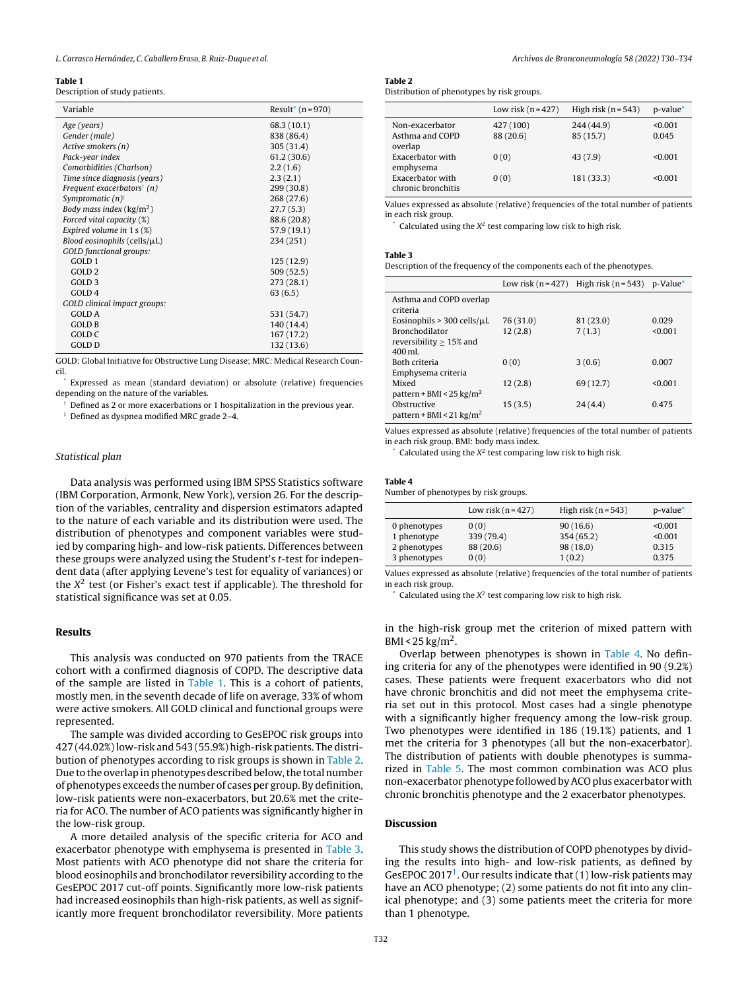#### Table 1

Description of study patients.

| Variable                               | Result <sup>*</sup> $(n = 970)$ |
|----------------------------------------|---------------------------------|
| Age (years)                            | 68.3 (10.1)                     |
| Gender (male)                          | 838 (86.4)                      |
| Active smokers (n)                     | 305 (31.4)                      |
| Pack-year index                        | 61.2(30.6)                      |
| Comorbidities (Charlson)               | 2.2(1.6)                        |
| Time since diagnosis (years)           | 2.3(2.1)                        |
| Frequent exacerbators <sup>†</sup> (n) | 299 (30.8)                      |
| Symptomatic $(n)$ <sup>:</sup>         | 268 (27.6)                      |
| Body mass index ( $\text{kg/m}^2$ )    | 27.7(5.3)                       |
| Forced vital capacity (%)              | 88.6 (20.8)                     |
| Expired volume in $1 s (\%)$           | 57.9 (19.1)                     |
| Blood eosinophils (cells/ $\mu$ L)     | 234 (251)                       |
| <b>GOLD</b> functional groups:         |                                 |
| GOLD <sub>1</sub>                      | 125(12.9)                       |
| GOLD <sub>2</sub>                      | 509(52.5)                       |
| GOLD <sub>3</sub>                      | 273(28.1)                       |
| GOLD <sub>4</sub>                      | 63(6.5)                         |
| GOLD clinical impact groups:           |                                 |
| GOLD A                                 | 531 (54.7)                      |
| GOLD B                                 | 140 (14.4)                      |
| GOLD C                                 | 167 (17.2)                      |
| <b>GOLD D</b>                          | 132 (13.6)                      |

GOLD: Global Initiative for Obstructive Lung Disease; MRC: Medical Research Council.

Expressed as mean (standard deviation) or absolute (relative) frequencies depending on the nature of the variables.

† Defined as 2 or more exacerbations or 1 hospitalization in the previous year.

‡ Defined as dyspnea modified MRC grade 2–4.

#### Statistical plan

Data analysis was performed using IBM SPSS Statistics software (IBM Corporation, Armonk, New York), version 26. For the description of the variables, centrality and dispersion estimators adapted to the nature of each variable and its distribution were used. The distribution of phenotypes and component variables were studied by comparing high- and low-risk patients. Differences between these groups were analyzed using the Student's t-test for independent data (after applying Levene's test for equality of variances) or the  $X^2$  test (or Fisher's exact test if applicable). The threshold for statistical significance was set at 0.05.

#### Results

This analysis was conducted on 970 patients from the TRACE cohort with a confirmed diagnosis of COPD. The descriptive data of the sample are listed in Table 1. This is a cohort of patients, mostly men, in the seventh decade of life on average, 33% of whom were active smokers. All GOLD clinical and functional groups were represented.

The sample was divided according to GesEPOC risk groups into 427 (44.02%)low-risk and 543 (55.9%) high-risk patients. The distribution of phenotypes according to risk groups is shown in Table 2. Due to the overlap in phenotypes described below, the total number of phenotypes exceeds the number of cases per group. By definition, low-risk patients were non-exacerbators, but 20.6% met the criteria for ACO. The number of ACO patients was significantly higher in the low-risk group.

A more detailed analysis of the specific criteria for ACO and exacerbator phenotype with emphysema is presented in Table 3. Most patients with ACO phenotype did not share the criteria for blood eosinophils and bronchodilator reversibility according to the GesEPOC 2017 cut-off points. Significantly more low-risk patients had increased eosinophils than high-risk patients, as well as significantly more frequent bronchodilator reversibility. More patients

### Table 2

Distribution of phenotypes by risk groups.

|                                               | Low risk $(n=427)$     | High risk $(n = 543)$  | $p$ -value $*$   |
|-----------------------------------------------|------------------------|------------------------|------------------|
| Non-exacerbator<br>Asthma and COPD<br>overlap | 427 (100)<br>88 (20.6) | 244 (44.9)<br>85(15.7) | < 0.001<br>0.045 |
| Exacerbator with<br>emphysema                 | 0(0)                   | 43(7.9)                | < 0.001          |
| Exacerbator with<br>chronic bronchitis        | 0(0)                   | 181 (33.3)             | < 0.001          |

Values expressed as absolute (relative) frequencies of the total number of patients in each risk group.

 $*$  Calculated using the  $X^2$  test comparing low risk to high risk.

#### Table 3

Description of the frequency of the components each of the phenotypes.

|                                     |           | Low risk $(n = 427)$ High risk $(n = 543)$ p-Value* |         |
|-------------------------------------|-----------|-----------------------------------------------------|---------|
| Asthma and COPD overlap             |           |                                                     |         |
| criteria                            |           |                                                     |         |
| Eosinophils > 300 cells/ $\mu$ L    | 76 (31.0) | 81 (23.0)                                           | 0.029   |
| <b>Bronchodilator</b>               | 12(2.8)   | 7(1.3)                                              | < 0.001 |
| reversibility $> 15\%$ and          |           |                                                     |         |
| $400 \,\mathrm{mL}$                 |           |                                                     |         |
| Both criteria                       | 0(0)      | 3(0.6)                                              | 0.007   |
| Emphysema criteria                  |           |                                                     |         |
| Mixed                               | 12(2.8)   | 69 (12.7)                                           | < 0.001 |
| pattern + BMI < $25 \text{ kg/m}^2$ |           |                                                     |         |
| Obstructive                         | 15(3.5)   | 24(4.4)                                             | 0.475   |
| pattern + BMI < 21 $\text{kg/m}^2$  |           |                                                     |         |

Values expressed as absolute (relative) frequencies of the total number of patients in each risk group. BMI: body mass index.

 $\degree$  Calculated using the  $X^2$  test comparing low risk to high risk.

## Table 4

|  |  |  |  |  | Number of phenotypes by risk groups. |  |  |  |  |  |  |  |
|--|--|--|--|--|--------------------------------------|--|--|--|--|--|--|--|
|--|--|--|--|--|--------------------------------------|--|--|--|--|--|--|--|

|              | Low risk $(n=427)$ | High risk $(n = 543)$ | p-value* |
|--------------|--------------------|-----------------------|----------|
| 0 phenotypes | 0(0)               | 90(16.6)              | < 0.001  |
| 1 phenotype  | 339 (79.4)         | 354(65.2)             | < 0.001  |
| 2 phenotypes | 88 (20.6)          | 98(18.0)              | 0.315    |
| 3 phenotypes | 0(0)               | 1(0.2)                | 0.375    |

Values expressed as absolute (relative) frequencies of the total number of patients in each risk group.

 $*$  Calculated using the  $X^2$  test comparing low risk to high risk.

in the high-risk group met the criterion of mixed pattern with BMI < 25 kg/m<sup>2</sup>.

Overlap between phenotypes is shown in Table 4. No defining criteria for any of the phenotypes were identified in 90 (9.2%) cases. These patients were frequent exacerbators who did not have chronic bronchitis and did not meet the emphysema criteria set out in this protocol. Most cases had a single phenotype with a significantly higher frequency among the low-risk group. Two phenotypes were identified in 186 (19.1%) patients, and 1 met the criteria for 3 phenotypes (all but the non-exacerbator). The distribution of patients with double phenotypes is summarized in [Table](#page-3-0) 5. The most common combination was ACO plus non-exacerbator phenotype followed byACO plus exacerbator with chronic bronchitis phenotype and the 2 exacerbator phenotypes.

#### Discussion

This study shows the distribution of COPD phenotypes by dividing the results into high- and low-risk patients, as defined by GesEPOC 20[1](#page-4-0)7<sup>1</sup>. Our results indicate that  $(1)$  low-risk patients may have an ACO phenotype; (2) some patients do not fit into any clinical phenotype; and (3) some patients meet the criteria for more than 1 phenotype.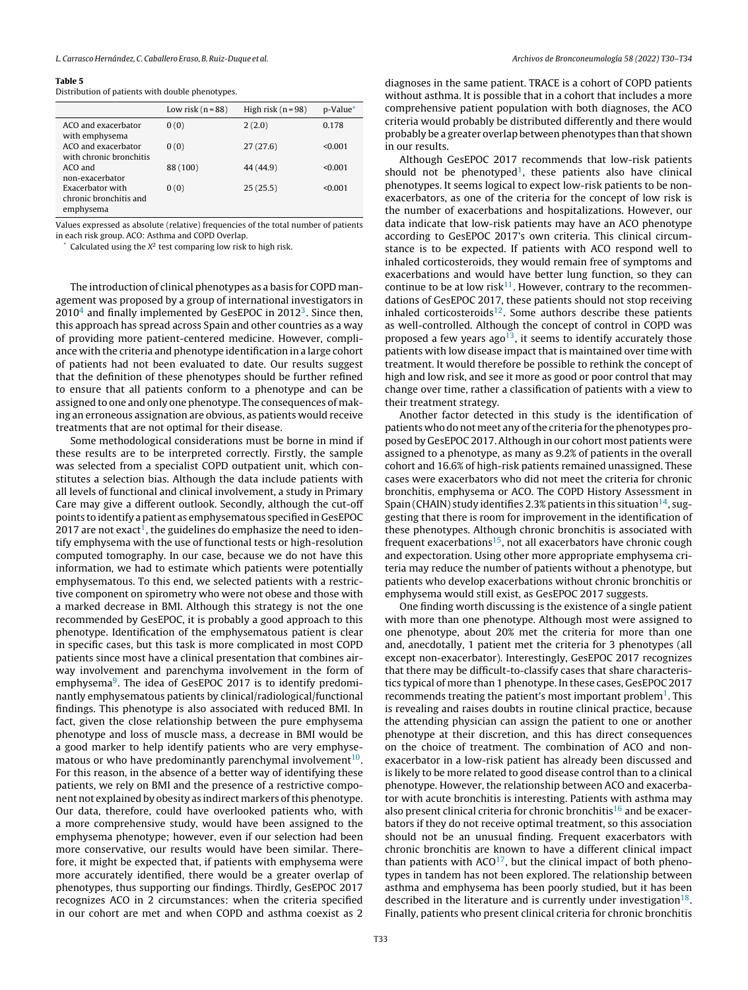#### <span id="page-3-0"></span>Table 5

## Distribution of patients with double phenotypes.

|                                                         | Low risk $(n=88)$ | High risk $(n = 98)$ | p-Value* |
|---------------------------------------------------------|-------------------|----------------------|----------|
| ACO and exacerbator<br>with emphysema                   | 0(0)              | 2(2.0)               | 0.178    |
| ACO and exacerbator<br>with chronic bronchitis          | 0(0)              | 27(27.6)             | < 0.001  |
| ACO and<br>non-exacerbator                              | 88 (100)          | 44 (44.9)            | < 0.001  |
| Exacerbator with<br>chronic bronchitis and<br>emphysema | 0(0)              | 25(25.5)             | < 0.001  |

Values expressed as absolute (relative) frequencies of the total number of patients in each risk group. ACO: Asthma and COPD Overlap.

 $\degree$  Calculated using the  $X^2$  test comparing low risk to high risk.

The introduction of clinical phenotypes as a basis for COPD management was proposed by a group of international investigators in  $2010<sup>4</sup>$  $2010<sup>4</sup>$  $2010<sup>4</sup>$  and finally implemented by GesEPOC in  $2012<sup>3</sup>$  $2012<sup>3</sup>$  $2012<sup>3</sup>$ . Since then, this approach has spread across Spain and other countries as a way of providing more patient-centered medicine. However, compliance with the criteria and phenotype identification in a large cohort of patients had not been evaluated to date. Our results suggest that the definition of these phenotypes should be further refined to ensure that all patients conform to a phenotype and can be assigned to one and only one phenotype. The consequences of making an erroneous assignation are obvious, as patients would receive treatments that are not optimal for their disease.

Some methodological considerations must be borne in mind if these results are to be interpreted correctly. Firstly, the sample was selected from a specialist COPD outpatient unit, which constitutes a selection bias. Although the data include patients with all levels of functional and clinical involvement, a study in Primary Care may give a different outlook. Secondly, although the cut-off points to identify a patient as emphysematous specified in GesEPOC 20[1](#page-4-0)7 are not exact $^1$ , the guidelines do emphasize the need to identify emphysema with the use of functional tests or high-resolution computed tomography. In our case, because we do not have this information, we had to estimate which patients were potentially emphysematous. To this end, we selected patients with a restrictive component on spirometry who were not obese and those with a marked decrease in BMI. Although this strategy is not the one recommended by GesEPOC, it is probably a good approach to this phenotype. Identification of the emphysematous patient is clear in specific cases, but this task is more complicated in most COPD patients since most have a clinical presentation that combines airway involvement and parenchyma involvement in the form of emphysema<sup>[9](#page-4-0)</sup>. The idea of GesEPOC 2017 is to identify predominantly emphysematous patients by clinical/radiological/functional findings. This phenotype is also associated with reduced BMI. In fact, given the close relationship between the pure emphysema phenotype and loss of muscle mass, a decrease in BMI would be a good marker to help identify patients who are very emphysematous or who have predominantly parenchymal involvement $^{10}$  $^{10}$  $^{10}$ . For this reason, in the absence of a better way of identifying these patients, we rely on BMI and the presence of a restrictive component not explained by obesity as indirect markers ofthis phenotype. Our data, therefore, could have overlooked patients who, with a more comprehensive study, would have been assigned to the emphysema phenotype; however, even if our selection had been more conservative, our results would have been similar. Therefore, it might be expected that, if patients with emphysema were more accurately identified, there would be a greater overlap of phenotypes, thus supporting our findings. Thirdly, GesEPOC 2017 recognizes ACO in 2 circumstances: when the criteria specified in our cohort are met and when COPD and asthma coexist as 2

diagnoses in the same patient. TRACE is a cohort of COPD patients without asthma. It is possible that in a cohort that includes a more comprehensive patient population with both diagnoses, the ACO criteria would probably be distributed differently and there would probably be a greater overlap between phenotypes than that shown in our results.

Although GesEPOC 2017 recommends that low-risk patients should not be phenotyped<sup>[1](#page-4-0)</sup>, these patients also have clinical phenotypes. It seems logical to expect low-risk patients to be nonexacerbators, as one of the criteria for the concept of low risk is the number of exacerbations and hospitalizations. However, our data indicate that low-risk patients may have an ACO phenotype according to GesEPOC 2017's own criteria. This clinical circumstance is to be expected. If patients with ACO respond well to inhaled corticosteroids, they would remain free of symptoms and exacerbations and would have better lung function, so they can continue to be at low risk $11$ . However, contrary to the recommendations of GesEPOC 2017, these patients should not stop receiving inhaled corticosteroids $12$ . Some authors describe these patients as well-controlled. Although the concept of control in COPD was proposed a few years ago<sup>[13](#page-4-0)</sup>, it seems to identify accurately those patients with low disease impact that is maintained over time with treatment. It would therefore be possible to rethink the concept of high and low risk, and see it more as good or poor control that may change over time, rather a classification of patients with a view to their treatment strategy.

Another factor detected in this study is the identification of patients who do not meet any of the criteria for the phenotypes proposed by GesEPOC 2017. Although in our cohort most patients were assigned to a phenotype, as many as 9.2% of patients in the overall cohort and 16.6% of high-risk patients remained unassigned. These cases were exacerbators who did not meet the criteria for chronic bronchitis, emphysema or ACO. The COPD History Assessment in Spain (CHAIN) study identifies 2.3% patients in this situation $^{14}$  $^{14}$  $^{14}$ , suggesting that there is room for improvement in the identification of these phenotypes. Although chronic bronchitis is associated with frequent exacerbations<sup>[15](#page-4-0)</sup>, not all exacerbators have chronic cough and expectoration. Using other more appropriate emphysema criteria may reduce the number of patients without a phenotype, but patients who develop exacerbations without chronic bronchitis or emphysema would still exist, as GesEPOC 2017 suggests.

One finding worth discussing is the existence of a single patient with more than one phenotype. Although most were assigned to one phenotype, about 20% met the criteria for more than one and, anecdotally, 1 patient met the criteria for 3 phenotypes (all except non-exacerbator). Interestingly, GesEPOC 2017 recognizes that there may be difficult-to-classify cases that share characteristics typical of more than 1 phenotype. In these cases, GesEPOC 2017 recommends treating the patient's most important problem<sup>[1](#page-4-0)</sup>. This is revealing and raises doubts in routine clinical practice, because the attending physician can assign the patient to one or another phenotype at their discretion, and this has direct consequences on the choice of treatment. The combination of ACO and nonexacerbator in a low-risk patient has already been discussed and is likely to be more related to good disease control than to a clinical phenotype. However, the relationship between ACO and exacerbator with acute bronchitis is interesting. Patients with asthma may also present clinical criteria for chronic bronchitis<sup>[16](#page-4-0)</sup> and be exacerbators if they do not receive optimal treatment, so this association should not be an unusual finding. Frequent exacerbators with chronic bronchitis are known to have a different clinical impact than patients with  $ACO<sup>17</sup>$  $ACO<sup>17</sup>$  $ACO<sup>17</sup>$ , but the clinical impact of both phenotypes in tandem has not been explored. The relationship between asthma and emphysema has been poorly studied, but it has been described in the literature and is currently under investigation $18$ . Finally, patients who present clinical criteria for chronic bronchitis